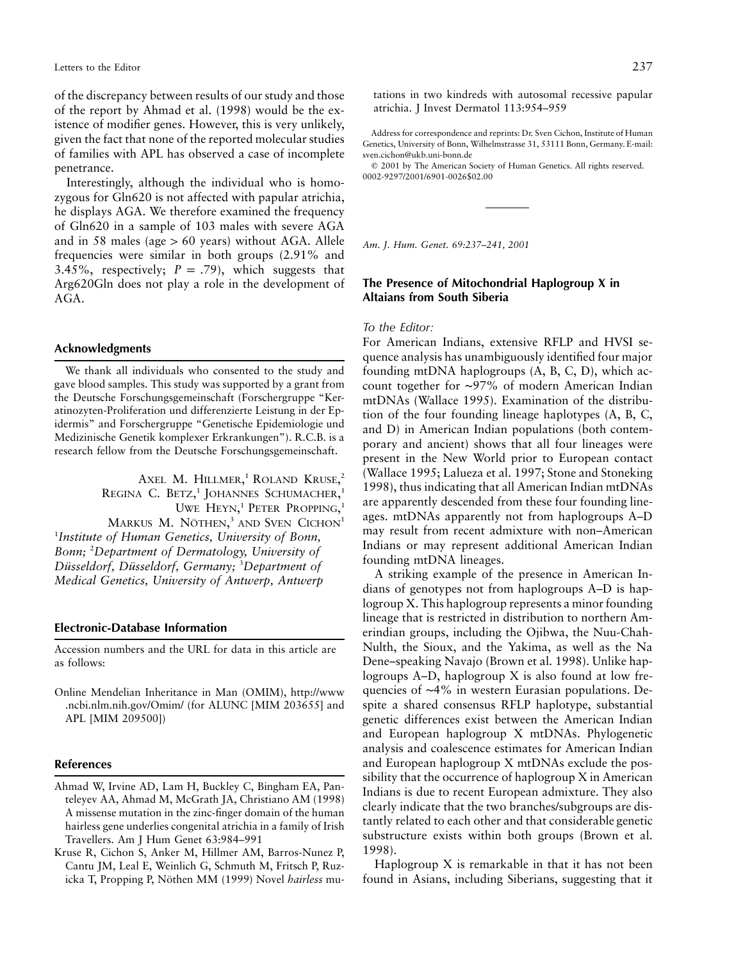of the discrepancy between results of our study and those of the report by Ahmad et al. (1998) would be the existence of modifier genes. However, this is very unlikely, given the fact that none of the reported molecular studies of families with APL has observed a case of incomplete penetrance.

Interestingly, although the individual who is homozygous for Gln620 is not affected with papular atrichia, he displays AGA. We therefore examined the frequency of Gln620 in a sample of 103 males with severe AGA and in 58 males (age  $> 60$  years) without AGA. Allele frequencies were similar in both groups (2.91% and 3.45%, respectively;  $P = .79$ , which suggests that Arg620Gln does not play a role in the development of AGA.

### **Acknowledgments**

We thank all individuals who consented to the study and gave blood samples. This study was supported by a grant from the Deutsche Forschungsgemeinschaft (Forschergruppe "Keratinozyten-Proliferation und differenzierte Leistung in der Epidermis" and Forschergruppe "Genetische Epidemiologie und Medizinische Genetik komplexer Erkrankungen"). R.C.B. is a research fellow from the Deutsche Forschungsgemeinschaft.

Axel M. Hillmer,<sup>1</sup> Roland Kruse,<sup>2</sup> REGINA C. BETZ,<sup>1</sup> JOHANNES SCHUMACHER,<sup>1</sup> UWE HEYN,<sup>1</sup> PETER PROPPING,<sup>1</sup> MARKUS M. NÖTHEN,<sup>3</sup> AND SVEN CICHON<sup>1</sup> 1 *Institute of Human Genetics, University of Bonn, Bonn;* <sup>2</sup> *Department of Dermatology, University of Du¨ sseldorf, Du¨sseldorf, Germany;* <sup>3</sup> *Department of Medical Genetics, University of Antwerp, Antwerp*

#### **Electronic-Database Information**

Accession numbers and the URL for data in this article are as follows:

Online Mendelian Inheritance in Man (OMIM), http://www .ncbi.nlm.nih.gov/Omim/ (for ALUNC [MIM 203655] and APL [MIM 209500])

### **References**

- Ahmad W, Irvine AD, Lam H, Buckley C, Bingham EA, Panteleyev AA, Ahmad M, McGrath JA, Christiano AM (1998) A missense mutation in the zinc-finger domain of the human hairless gene underlies congenital atrichia in a family of Irish Travellers. Am J Hum Genet 63:984–991
- Kruse R, Cichon S, Anker M, Hillmer AM, Barros-Nunez P, Cantu JM, Leal E, Weinlich G, Schmuth M, Fritsch P, Ruzicka T, Propping P, Nöthen MM (1999) Novel *hairless* mu-

tations in two kindreds with autosomal recessive papular atrichia. J Invest Dermatol 113:954–959

Address for correspondence and reprints: Dr. Sven Cichon, Institute of Human Genetics, University of Bonn, Wilhelmstrasse 31, 53111 Bonn, Germany. E-mail: sven.cichon@ukb.uni-bonn.de

 2001 by The American Society of Human Genetics. All rights reserved. 0002-9297/2001/6901-0026\$02.00

*Am. J. Hum. Genet. 69:237–241, 2001*

# **The Presence of Mitochondrial Haplogroup X in Altaians from South Siberia**

## *To the Editor:*

For American Indians, extensive RFLP and HVSI sequence analysis has unambiguously identified four major founding mtDNA haplogroups (A, B, C, D), which account together for ∼97% of modern American Indian mtDNAs (Wallace 1995). Examination of the distribution of the four founding lineage haplotypes (A, B, C, and D) in American Indian populations (both contemporary and ancient) shows that all four lineages were present in the New World prior to European contact (Wallace 1995; Lalueza et al. 1997; Stone and Stoneking 1998), thus indicating that all American Indian mtDNAs are apparently descended from these four founding lineages. mtDNAs apparently not from haplogroups A–D may result from recent admixture with non–American Indians or may represent additional American Indian founding mtDNA lineages.

A striking example of the presence in American Indians of genotypes not from haplogroups A–D is haplogroup X. This haplogroup represents a minor founding lineage that is restricted in distribution to northern Amerindian groups, including the Ojibwa, the Nuu-Chah-Nulth, the Sioux, and the Yakima, as well as the Na Dene–speaking Navajo (Brown et al. 1998). Unlike haplogroups A–D, haplogroup X is also found at low frequencies of ∼4% in western Eurasian populations. Despite a shared consensus RFLP haplotype, substantial genetic differences exist between the American Indian and European haplogroup X mtDNAs. Phylogenetic analysis and coalescence estimates for American Indian and European haplogroup X mtDNAs exclude the possibility that the occurrence of haplogroup X in American Indians is due to recent European admixture. They also clearly indicate that the two branches/subgroups are distantly related to each other and that considerable genetic substructure exists within both groups (Brown et al. 1998).

Haplogroup X is remarkable in that it has not been found in Asians, including Siberians, suggesting that it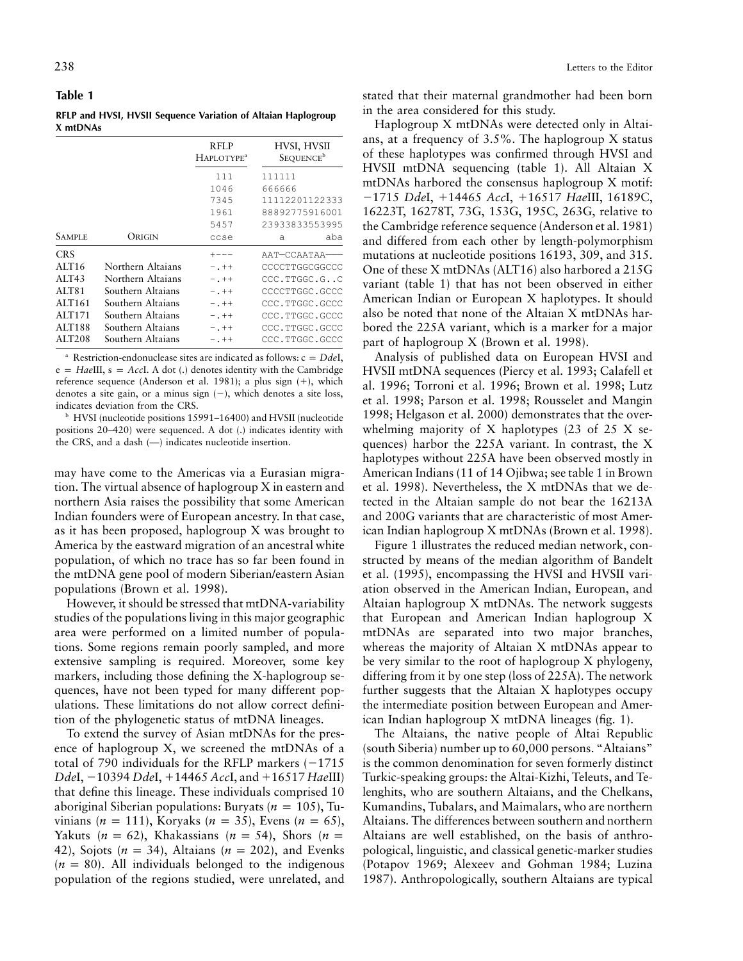**Table 1**

**RFLP and HVSI, HVSII Sequence Variation of Altaian Haplogroup X mtDNAs**

|                   |                   | RFLP<br>HAPLOTYPE <sup>a</sup> | HVSI, HVSII<br>SEQUENCE <sup>b</sup> |
|-------------------|-------------------|--------------------------------|--------------------------------------|
|                   |                   | 111                            | 111111                               |
|                   |                   | 1046                           | 666666                               |
|                   |                   | 7345                           | 11112201122333                       |
|                   |                   | 1961                           | 88892775916001                       |
|                   |                   | 5457                           | 23933833553995                       |
| <b>SAMPLE</b>     | Origin            | ccse                           | aba<br>a                             |
| <b>CRS</b>        |                   |                                | AAT-CCAATAA-                         |
| ALT <sub>16</sub> | Northern Altaians | $-$ . ++                       | CCCCTTGGCGGCCC                       |
| ALT43             | Northern Altaians | $-$ . ++                       | CCC.TTGGC.GC                         |
| ALT81             | Southern Altaians | $-$ . $++$                     | CCCCTTGGC.GCCC                       |
| ALT161            | Southern Altaians | $-$ . ++                       | CCC.TTGGC.GCCC                       |
| ALT171            | Southern Altaians | $-$ . ++                       | CCC.TTGGC.GCCC                       |
| ALT188            | Southern Altaians | $-$ . ++                       | CCC.TTGGC.GCCC                       |
| ALT208            | Southern Altaians | $-$ .++                        | CCC.TTGGC.GCCC                       |

Restriction-endonuclease sites are indicated as follows:  $c = DdeI$ ,  $e = HaeIII$ ,  $s = AccI$ . A dot (.) denotes identity with the Cambridge reference sequence (Anderson et al. 1981); a plus sign  $(+)$ , which denotes a site gain, or a minus sign  $(-)$ , which denotes a site loss, indicates deviation from the CRS.

<sup>b</sup> HVSI (nucleotide positions 15991–16400) and HVSII (nucleotide positions 20–420) were sequenced. A dot (.) indicates identity with the CRS, and a dash (—) indicates nucleotide insertion.

may have come to the Americas via a Eurasian migration. The virtual absence of haplogroup X in eastern and northern Asia raises the possibility that some American Indian founders were of European ancestry. In that case, as it has been proposed, haplogroup X was brought to America by the eastward migration of an ancestral white population, of which no trace has so far been found in the mtDNA gene pool of modern Siberian/eastern Asian populations (Brown et al. 1998).

However, it should be stressed that mtDNA-variability studies of the populations living in this major geographic area were performed on a limited number of populations. Some regions remain poorly sampled, and more extensive sampling is required. Moreover, some key markers, including those defining the X-haplogroup sequences, have not been typed for many different populations. These limitations do not allow correct definition of the phylogenetic status of mtDNA lineages.

To extend the survey of Asian mtDNAs for the presence of haplogroup X, we screened the mtDNAs of a total of 790 individuals for the RFLP markers  $(-1715$ *Dde*I, -10394 *Dde*I, 14465 *Acc*I, and 16517 *Hae*III) that define this lineage. These individuals comprised 10 aboriginal Siberian populations: Buryats ( $n = 105$ ), Tuvinians ( $n = 111$ ), Koryaks ( $n = 35$ ), Evens ( $n = 65$ ), Yakuts ( $n = 62$ ), Khakassians ( $n = 54$ ), Shors ( $n = 62$ ) 42), Sojots ( $n = 34$ ), Altaians ( $n = 202$ ), and Evenks  $(n = 80)$ . All individuals belonged to the indigenous population of the regions studied, were unrelated, and

stated that their maternal grandmother had been born in the area considered for this study.

Haplogroup X mtDNAs were detected only in Altaians, at a frequency of 3.5%. The haplogroup X status of these haplotypes was confirmed through HVSI and HVSII mtDNA sequencing (table 1). All Altaian X mtDNAs harbored the consensus haplogroup X motif: -1715 *Dde*I, 14465 *Acc*I, 16517 *Hae*III, 16189C, 16223T, 16278T, 73G, 153G, 195C, 263G, relative to the Cambridge reference sequence (Anderson et al. 1981) and differed from each other by length-polymorphism mutations at nucleotide positions 16193, 309, and 315. One of these X mtDNAs (ALT16) also harbored a 215G variant (table 1) that has not been observed in either American Indian or European X haplotypes. It should also be noted that none of the Altaian X mtDNAs harbored the 225A variant, which is a marker for a major part of haplogroup X (Brown et al. 1998).

Analysis of published data on European HVSI and HVSII mtDNA sequences (Piercy et al. 1993; Calafell et al. 1996; Torroni et al. 1996; Brown et al. 1998; Lutz et al. 1998; Parson et al. 1998; Rousselet and Mangin 1998; Helgason et al. 2000) demonstrates that the overwhelming majority of X haplotypes (23 of 25 X sequences) harbor the 225A variant. In contrast, the X haplotypes without 225A have been observed mostly in American Indians (11 of 14 Ojibwa; see table 1 in Brown et al. 1998). Nevertheless, the X mtDNAs that we detected in the Altaian sample do not bear the 16213A and 200G variants that are characteristic of most American Indian haplogroup X mtDNAs (Brown et al. 1998).

Figure 1 illustrates the reduced median network, constructed by means of the median algorithm of Bandelt et al. (1995), encompassing the HVSI and HVSII variation observed in the American Indian, European, and Altaian haplogroup X mtDNAs. The network suggests that European and American Indian haplogroup X mtDNAs are separated into two major branches, whereas the majority of Altaian X mtDNAs appear to be very similar to the root of haplogroup X phylogeny, differing from it by one step (loss of 225A). The network further suggests that the Altaian X haplotypes occupy the intermediate position between European and American Indian haplogroup X mtDNA lineages (fig. 1).

The Altaians, the native people of Altai Republic (south Siberia) number up to 60,000 persons. "Altaians" is the common denomination for seven formerly distinct Turkic-speaking groups: the Altai-Kizhi, Teleuts, and Telenghits, who are southern Altaians, and the Chelkans, Kumandins, Tubalars, and Maimalars, who are northern Altaians. The differences between southern and northern Altaians are well established, on the basis of anthropological, linguistic, and classical genetic-marker studies (Potapov 1969; Alexeev and Gohman 1984; Luzina 1987). Anthropologically, southern Altaians are typical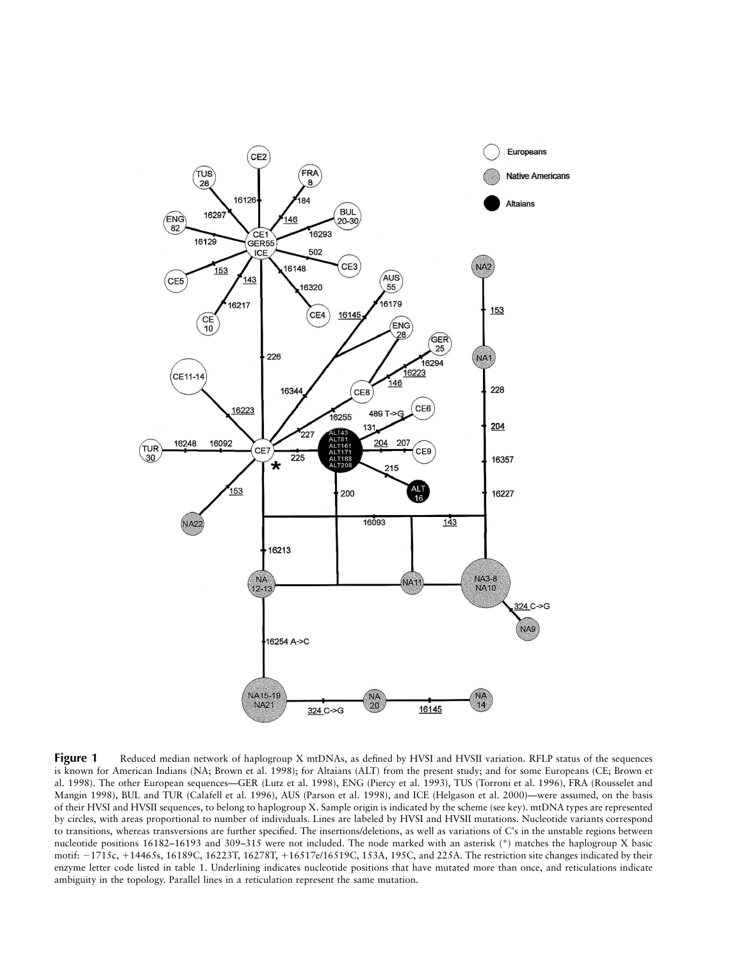

**Figure 1** Reduced median network of haplogroup X mtDNAs, as defined by HVSI and HVSII variation. RFLP status of the sequences is known for American Indians (NA; Brown et al. 1998); for Altaians (ALT) from the present study; and for some Europeans (CE; Brown et al. 1998). The other European sequences—GER (Lutz et al. 1998), ENG (Piercy et al. 1993), TUS (Torroni et al. 1996), FRA (Rousselet and Mangin 1998), BUL and TUR (Calafell et al. 1996), AUS (Parson et al. 1998), and ICE (Helgason et al. 2000)—were assumed, on the basis of their HVSI and HVSII sequences, to belong to haplogroup X. Sample origin is indicated by the scheme (see key). mtDNA types are represented by circles, with areas proportional to number of individuals. Lines are labeled by HVSI and HVSII mutations. Nucleotide variants correspond to transitions, whereas transversions are further specified. The insertions/deletions, as well as variations of C's in the unstable regions between nucleotide positions 16182–16193 and 309–315 were not included. The node marked with an asterisk (\*) matches the haplogroup X basic motif: -1715c, 14465s, 16189C, 16223T, 16278T, 16517e/16519C, 153A, 195C, and 225A. The restriction site changes indicated by their enzyme letter code listed in table 1. Underlining indicates nucleotide positions that have mutated more than once, and reticulations indicate ambiguity in the topology. Parallel lines in a reticulation represent the same mutation.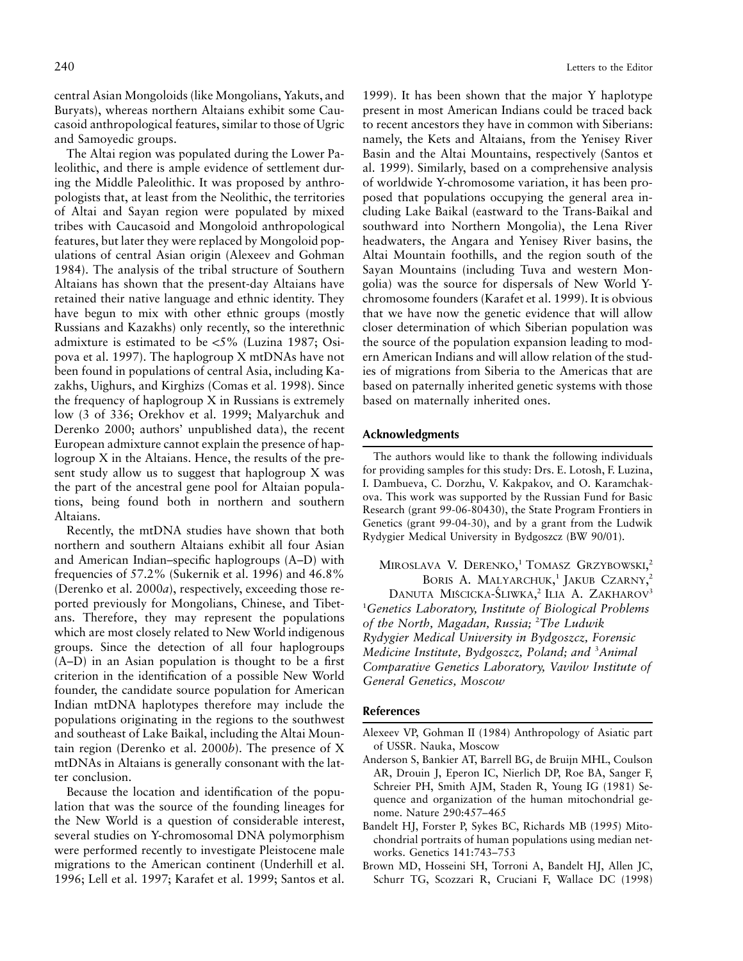central Asian Mongoloids (like Mongolians, Yakuts, and Buryats), whereas northern Altaians exhibit some Caucasoid anthropological features, similar to those of Ugric and Samoyedic groups.

The Altai region was populated during the Lower Paleolithic, and there is ample evidence of settlement during the Middle Paleolithic. It was proposed by anthropologists that, at least from the Neolithic, the territories of Altai and Sayan region were populated by mixed tribes with Caucasoid and Mongoloid anthropological features, but later they were replaced by Mongoloid populations of central Asian origin (Alexeev and Gohman 1984). The analysis of the tribal structure of Southern Altaians has shown that the present-day Altaians have retained their native language and ethnic identity. They have begun to mix with other ethnic groups (mostly Russians and Kazakhs) only recently, so the interethnic admixture is estimated to be  $\langle 5\%$  (Luzina 1987; Osipova et al. 1997). The haplogroup X mtDNAs have not been found in populations of central Asia, including Kazakhs, Uighurs, and Kirghizs (Comas et al. 1998). Since the frequency of haplogroup X in Russians is extremely low (3 of 336; Orekhov et al. 1999; Malyarchuk and Derenko 2000; authors' unpublished data), the recent European admixture cannot explain the presence of haplogroup X in the Altaians. Hence, the results of the present study allow us to suggest that haplogroup X was the part of the ancestral gene pool for Altaian populations, being found both in northern and southern Altaians.

Recently, the mtDNA studies have shown that both northern and southern Altaians exhibit all four Asian and American Indian–specific haplogroups (A–D) with frequencies of 57.2% (Sukernik et al. 1996) and 46.8% (Derenko et al. 2000*a*), respectively, exceeding those reported previously for Mongolians, Chinese, and Tibetans. Therefore, they may represent the populations which are most closely related to New World indigenous groups. Since the detection of all four haplogroups (A–D) in an Asian population is thought to be a first criterion in the identification of a possible New World founder, the candidate source population for American Indian mtDNA haplotypes therefore may include the populations originating in the regions to the southwest and southeast of Lake Baikal, including the Altai Mountain region (Derenko et al. 2000*b*). The presence of X mtDNAs in Altaians is generally consonant with the latter conclusion.

Because the location and identification of the population that was the source of the founding lineages for the New World is a question of considerable interest, several studies on Y-chromosomal DNA polymorphism were performed recently to investigate Pleistocene male migrations to the American continent (Underhill et al. 1996; Lell et al. 1997; Karafet et al. 1999; Santos et al.

1999). It has been shown that the major Y haplotype present in most American Indians could be traced back to recent ancestors they have in common with Siberians: namely, the Kets and Altaians, from the Yenisey River Basin and the Altai Mountains, respectively (Santos et al. 1999). Similarly, based on a comprehensive analysis of worldwide Y-chromosome variation, it has been proposed that populations occupying the general area including Lake Baikal (eastward to the Trans-Baikal and southward into Northern Mongolia), the Lena River headwaters, the Angara and Yenisey River basins, the Altai Mountain foothills, and the region south of the Sayan Mountains (including Tuva and western Mongolia) was the source for dispersals of New World Ychromosome founders (Karafet et al. 1999). It is obvious that we have now the genetic evidence that will allow closer determination of which Siberian population was the source of the population expansion leading to modern American Indians and will allow relation of the studies of migrations from Siberia to the Americas that are based on paternally inherited genetic systems with those based on maternally inherited ones.

### **Acknowledgments**

The authors would like to thank the following individuals for providing samples for this study: Drs. E. Lotosh, F. Luzina, I. Dambueva, C. Dorzhu, V. Kakpakov, and O. Karamchakova. This work was supported by the Russian Fund for Basic Research (grant 99-06-80430), the State Program Frontiers in Genetics (grant 99-04-30), and by a grant from the Ludwik Rydygier Medical University in Bydgoszcz (BW 90/01).

Miroslava V. Derenko,<sup>1</sup> Tomasz Grzybowski,<sup>2</sup> BORIS A. MALYARCHUK,<sup>1</sup> JAKUB CZARNY,<sup>2</sup>

Danuta Miścicka-Śliwka,<sup>2</sup> Ilia A. Zakharov<sup>3</sup> 1 *Genetics Laboratory, Institute of Biological Problems* of the North, Magadan, Russia; <sup>2</sup>The Ludwik *Rydygier Medical University in Bydgoszcz, Forensic Medicine Institute, Bydgoszcz, Poland; and* <sup>3</sup> *Animal Comparative Genetics Laboratory, Vavilov Institute of General Genetics, Moscow*

### **References**

- Alexeev VP, Gohman II (1984) Anthropology of Asiatic part of USSR. Nauka, Moscow
- Anderson S, Bankier AT, Barrell BG, de Bruijn MHL, Coulson AR, Drouin J, Eperon IC, Nierlich DP, Roe BA, Sanger F, Schreier PH, Smith AJM, Staden R, Young IG (1981) Sequence and organization of the human mitochondrial genome. Nature 290:457–465
- Bandelt HJ, Forster P, Sykes BC, Richards MB (1995) Mitochondrial portraits of human populations using median networks. Genetics 141:743–753
- Brown MD, Hosseini SH, Torroni A, Bandelt HJ, Allen JC, Schurr TG, Scozzari R, Cruciani F, Wallace DC (1998)